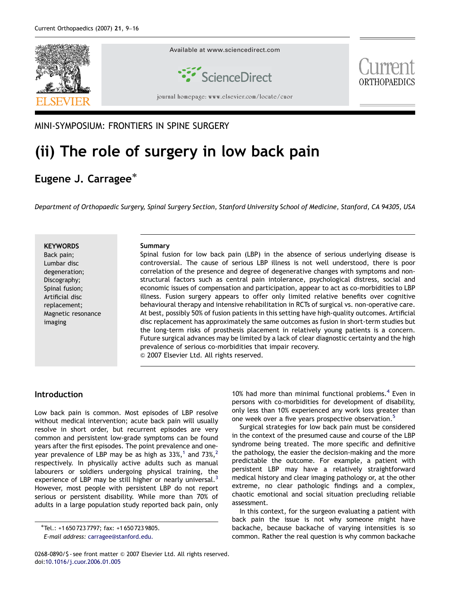

MINI-SYMPOSIUM: FRONTIERS IN SPINE SURGERY

# (ii) The role of surgery in low back pain

## Eugene J. Carragee<sup>\*</sup>

Department of Orthopaedic Surgery, Spinal Surgery Section, Stanford University School of Medicine, Stanford, CA 94305, USA

**KEYWORDS** Back pain; Lumbar disc degeneration; Discography; Spinal fusion; Artificial disc replacement; Magnetic resonance imaging

#### Summary

Spinal fusion for low back pain (LBP) in the absence of serious underlying disease is controversial. The cause of serious LBP illness is not well understood, there is poor correlation of the presence and degree of degenerative changes with symptoms and nonstructural factors such as central pain intolerance, psychological distress, social and economic issues of compensation and participation, appear to act as co-morbidities to LBP illness. Fusion surgery appears to offer only limited relative benefits over cognitive behavioural therapy and intensive rehabilitation in RCTs of surgical vs. non-operative care. At best, possibly 50% of fusion patients in this setting have high-quality outcomes. Artificial disc replacement has approximately the same outcomes as fusion in short-term studies but the long-term risks of prosthesis placement in relatively young patients is a concern. Future surgical advances may be limited by a lack of clear diagnostic certainty and the high prevalence of serious co-morbidities that impair recovery.  $\odot$  2007 Elsevier Ltd. All rights reserved.

## Introduction

Low back pain is common. Most episodes of LBP resolve without medical intervention; acute back pain will usually resolve in short order, but recurrent episodes are very common and persistent low-grade symptoms can be found years after the first episodes. The point prevalence and oneyear prevalence of LBP may be as high as  $33\%$ ,<sup>[1](#page-6-0)</sup> and  $73\%$ ,<sup>[2](#page-6-0)</sup> respectively. In physically active adults such as manual labourers or soldiers undergoing physical training, the experience of LBP may be still higher or nearly universal.<sup>[3](#page-6-0)</sup> However, most people with persistent LBP do not report serious or persistent disability. While more than 70% of adults in a large population study reported back pain, only

-Tel.: +1 650 723 7797; fax: +1 650 723 9805.

E-mail address: [carragee@stanford.edu.](mailto:carragee@stanford.edu)

0268-0890/\$ - see front matter © 2007 Elsevier Ltd. All rights reserved. doi[:10.1016/j.cuor.2006.01.005](dx.doi.org/10.1016/j.cuor.2006.01.005)

10% had more than minimal functional problems.<sup>4</sup> Even in persons with co-morbidities for development of disability, only less than 10% experienced any work loss greater than one week over a five years prospective observation.<sup>[5](#page-6-0)</sup>

Surgical strategies for low back pain must be considered in the context of the presumed cause and course of the LBP syndrome being treated. The more specific and definitive the pathology, the easier the decision-making and the more predictable the outcome. For example, a patient with persistent LBP may have a relatively straightforward medical history and clear imaging pathology or, at the other extreme, no clear pathologic findings and a complex, chaotic emotional and social situation precluding reliable assessment.

In this context, for the surgeon evaluating a patient with back pain the issue is not why someone might have backache, because backache of varying intensities is so common. Rather the real question is why common backache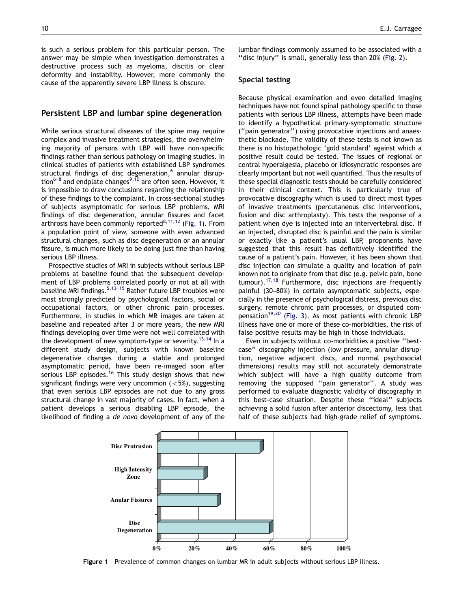is such a serious problem for this particular person. The answer may be simple when investigation demonstrates a destructive process such as myeloma, discitis or clear deformity and instability. However, more commonly the cause of the apparently severe LBP illness is obscure.

#### Persistent LBP and lumbar spine degeneration

While serious structural diseases of the spine may require complex and invasive treatment strategies, the overwhelming majority of persons with LBP will have non-specific findings rather than serious pathology on imaging studies. In clinical studies of patients with established LBP syndromes structural findings of disc degeneration,<sup>[6](#page-6-0)</sup> annular disrup-tion<sup>6–8</sup> and endplate changes<sup>[9,10](#page-6-0)</sup> are often seen. However, it is impossible to draw conclusions regarding the relationship of these findings to the complaint. In cross-sectional studies of subjects asymptomatic for serious LBP problems, MRI findings of disc degeneration, annular fissures and facet arthrosis have been commonly reported $^{8,11,12}$  $^{8,11,12}$  $^{8,11,12}$  (Fig. 1). From a population point of view, someone with even advanced structural changes, such as disc degeneration or an annular fissure, is much more likely to be doing just fine than having serious LBP illness.

Prospective studies of MRI in subjects without serious LBP problems at baseline found that the subsequent development of LBP problems correlated poorly or not at all with baseline MRI findings.[5,13](#page-6-0)–<sup>15</sup> Rather future LBP troubles were most strongly predicted by psychological factors, social or occupational factors, or other chronic pain processes. Furthermore, in studies in which MR images are taken at baseline and repeated after 3 or more years, the new MRI findings developing over time were not well correlated with the development of new symptom-type or severity.<sup>[13,14](#page-6-0)</sup> In a different study design, subjects with known baseline degenerative changes during a stable and prolonged asymptomatic period, have been re-imaged soon after serious LBP episodes.<sup>[16](#page-7-0)</sup> This study design shows that new significant findings were very uncommon  $(<5%)$ , suggesting that even serious LBP episodes are not due to any gross structural change in vast majority of cases. In fact, when a patient develops a serious disabling LBP episode, the likelihood of finding a de novo development of any of the lumbar findings commonly assumed to be associated with a "disc injury" is small, generally less than 20% [\(Fig. 2\)](#page-2-0).

#### Special testing

Because physical examination and even detailed imaging techniques have not found spinal pathology specific to those patients with serious LBP illness, attempts have been made to identify a hypothetical primary-symptomatic structure (''pain generator'') using provocative injections and anaesthetic blockade. The validity of these tests is not known as there is no histopathologic 'gold standard' against which a positive result could be tested. The issues of regional or central hyperalgesia, placebo or idiosyncratic responses are clearly important but not well quantified. Thus the results of these special diagnostic tests should be carefully considered in their clinical context. This is particularly true of provocative discography which is used to direct most types of invasive treatments (percutaneous disc interventions, fusion and disc arthroplasty). This tests the response of a patient when dye is injected into an intervertebral disc. If an injected, disrupted disc is painful and the pain is similar or exactly like a patient's usual LBP, proponents have suggested that this result has definitively identified the cause of a patient's pain. However, it has been shown that disc injection can simulate a quality and location of pain known not to originate from that disc (e.g. pelvic pain, bone tumour).[17,18](#page-7-0) Furthermore, disc injections are frequently painful (30–80%) in certain asymptomatic subjects, especially in the presence of psychological distress, previous disc surgery, remote chronic pain processes, or disputed com-pensation<sup>[19,20](#page-7-0)</sup> [\(Fig. 3\)](#page-2-0). As most patients with chronic LBP illness have one or more of these co-morbidities, the risk of false positive results may be high in those individuals.

Even in subjects without co-morbidities a positive ''bestcase'' discography injection (low pressure, annular disruption, negative adjacent discs, and normal psychosocial dimensions) results may still not accurately demonstrate which subject will have a high quality outcome from removing the supposed ''pain generator''. A study was performed to evaluate diagnostic validity of discography in this best-case situation. Despite these ''ideal'' subjects achieving a solid fusion after anterior discectomy, less that half of these subjects had high-grade relief of symptoms.



Figure 1 Prevalence of common changes on lumbar MR in adult subjects without serious LBP illness.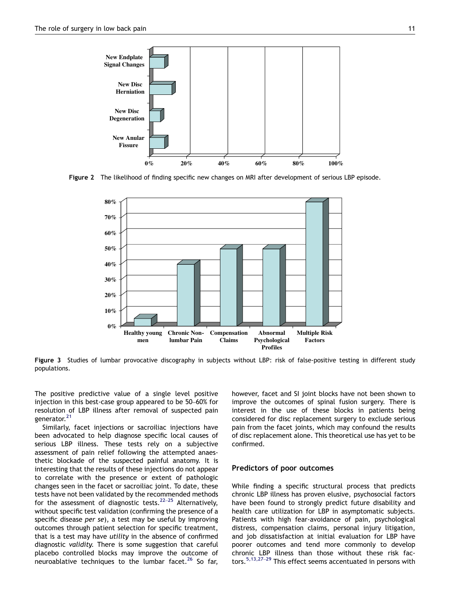<span id="page-2-0"></span>

Figure 2 The likelihood of finding specific new changes on MRI after development of serious LBP episode.



Figure 3 Studies of lumbar provocative discography in subjects without LBP: risk of false-positive testing in different study populations.

The positive predictive value of a single level positive injection in this best-case group appeared to be 50–60% for resolution of LBP illness after removal of suspected pain generator.<sup>[21](#page-7-0)</sup>

Similarly, facet injections or sacroiliac injections have been advocated to help diagnose specific local causes of serious LBP illness. These tests rely on a subjective assessment of pain relief following the attempted anaesthetic blockade of the suspected painful anatomy. It is interesting that the results of these injections do not appear to correlate with the presence or extent of pathologic changes seen in the facet or sacroiliac joint. To date, these tests have not been validated by the recommended methods for the assessment of diagnostic tests.<sup>22–[25](#page-7-0)</sup> Alternatively, without specific test validation (confirming the presence of a specific disease per se), a test may be useful by improving outcomes through patient selection for specific treatment, that is a test may have utility in the absence of confirmed diagnostic validity. There is some suggestion that careful placebo controlled blocks may improve the outcome of neuroablative techniques to the lumbar facet.<sup>[26](#page-7-0)</sup> So far, however, facet and SI joint blocks have not been shown to improve the outcomes of spinal fusion surgery. There is interest in the use of these blocks in patients being considered for disc replacement surgery to exclude serious pain from the facet joints, which may confound the results of disc replacement alone. This theoretical use has yet to be confirmed.

#### Predictors of poor outcomes

While finding a specific structural process that predicts chronic LBP illness has proven elusive, psychosocial factors have been found to strongly predict future disability and health care utilization for LBP in asymptomatic subjects. Patients with high fear-avoidance of pain, psychological distress, compensation claims, personal injury litigation, and job dissatisfaction at initial evaluation for LBP have poorer outcomes and tend more commonly to develop chronic LBP illness than those without these risk fac-tors.<sup>[5,13,27](#page-6-0)-29</sup> This effect seems accentuated in persons with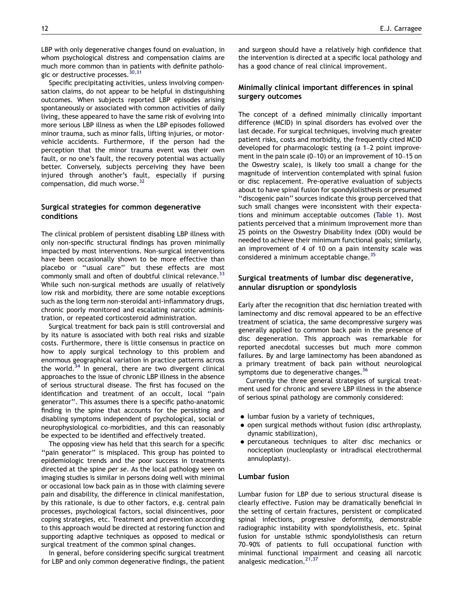LBP with only degenerative changes found on evaluation, in whom psychological distress and compensation claims are much more common than in patients with definite patholo-gic or destructive processes.<sup>[30,31](#page-7-0)</sup>

Specific precipitating activities, unless involving compensation claims, do not appear to be helpful in distinguishing outcomes. When subjects reported LBP episodes arising spontaneously or associated with common activities of daily living, these appeared to have the same risk of evolving into more serious LBP illness as when the LBP episodes followed minor trauma, such as minor falls, lifting injuries, or motorvehicle accidents. Furthermore, if the person had the perception that the minor trauma event was their own fault, or no one's fault, the recovery potential was actually better. Conversely, subjects perceiving they have been injured through another's fault, especially if pursing compensation, did much worse. $32$ 

## Surgical strategies for common degenerative conditions

The clinical problem of persistent disabling LBP illness with only non-specific structural findings has proven minimally impacted by most interventions. Non-surgical interventions have been occasionally shown to be more effective than placebo or ''usual care'' but these effects are most commonly small and often of doubtful clinical relevance.<sup>[33](#page-7-0)</sup> While such non-surgical methods are usually of relatively low risk and morbidity, there are some notable exceptions such as the long term non-steroidal anti-inflammatory drugs, chronic poorly monitored and escalating narcotic administration, or repeated corticosteroid administration.

Surgical treatment for back pain is still controversial and by its nature is associated with both real risks and sizable costs. Furthermore, there is little consensus in practice on how to apply surgical technology to this problem and enormous geographical variation in practice patterns across the world. $34$  In general, there are two divergent clinical approaches to the issue of chronic LBP illness in the absence of serious structural disease. The first has focused on the identification and treatment of an occult, local ''pain generator''. This assumes there is a specific patho-anatomic finding in the spine that accounts for the persisting and disabling symptoms independent of psychological, social or neurophysiological co-morbidities, and this can reasonably be expected to be identified and effectively treated.

The opposing view has held that this search for a specific "pain generator" is misplaced. This group has pointed to epidemiologic trends and the poor success in treatments directed at the spine per se. As the local pathology seen on imaging studies is similar in persons doing well with minimal or occasional low back pain as in those with claiming severe pain and disability, the difference in clinical manifestation, by this rationale, is due to other factors, e.g. central pain processes, psychological factors, social disincentives, poor coping strategies, etc. Treatment and prevention according to this approach would be directed at restoring function and supporting adaptive techniques as opposed to medical or surgical treatment of the common spinal changes.

In general, before considering specific surgical treatment for LBP and only common degenerative findings, the patient and surgeon should have a relatively high confidence that the intervention is directed at a specific local pathology and has a good chance of real clinical improvement.

## Minimally clinical important differences in spinal surgery outcomes

The concept of a defined minimally clinically important difference (MCID) in spinal disorders has evolved over the last decade. For surgical techniques, involving much greater patient risks, costs and morbidity, the frequently cited MCID developed for pharmacologic testing (a 1–2 point improvement in the pain scale (0–10) or an improvement of 10–15 on the Oswestry scale), is likely too small a change for the magnitude of intervention contemplated with spinal fusion or disc replacement. Pre-operative evaluation of subjects about to have spinal fusion for spondylolisthesis or presumed ''discogenic pain'' sources indicate this group perceived that such small changes were inconsistent with their expectations and minimum acceptable outcomes ([Table 1](#page-4-0)). Most patients perceived that a minimum improvement more than 25 points on the Oswestry Disability Index (ODI) would be needed to achieve their minimum functional goals; similarly, an improvement of 4 of 10 on a pain intensity scale was considered a minimum acceptable change.<sup>[35](#page-7-0)</sup>

## Surgical treatments of lumbar disc degenerative, annular disruption or spondylosis

Early after the recognition that disc herniation treated with laminectomy and disc removal appeared to be an effective treatment of sciatica, the same decompressive surgery was generally applied to common back pain in the presence of disc degeneration. This approach was remarkable for reported anecdotal successes but much more common failures. By and large laminectomy has been abandoned as a primary treatment of back pain without neurological symptoms due to degenerative changes.<sup>[36](#page-7-0)</sup>

Currently the three general strategies of surgical treatment used for chronic and severe LBP illness in the absence of serious spinal pathology are commonly considered:

- lumbar fusion by a variety of techniques,
- $\bullet$  open surgical methods without fusion (disc arthroplasty, dynamic stabilization),
- $\bullet$  percutaneous techniques to alter disc mechanics or nociception (nucleoplasty or intradiscal electrothermal annuloplasty).

### Lumbar fusion

Lumbar fusion for LBP due to serious structural disease is clearly effective. Fusion may be dramatically beneficial in the setting of certain fractures, persistent or complicated spinal infections, progressive deformity, demonstrable radiographic instability with spondylolisthesis, etc. Spinal fusion for unstable isthmic spondylolisthesis can return 70–90% of patients to full occupational function with minimal functional impairment and ceasing all narcotic analgesic medication.<sup>[21,37](#page-7-0)</sup>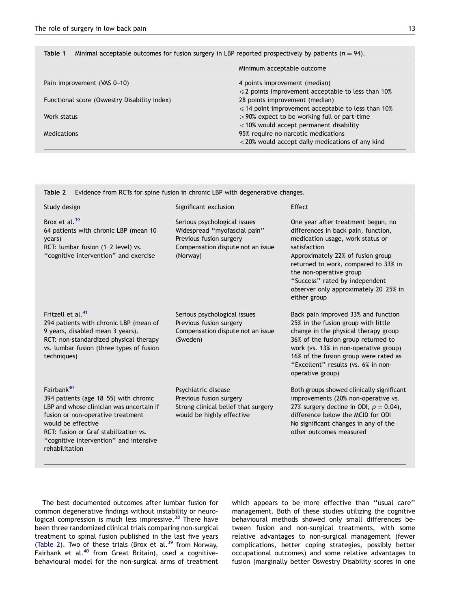<span id="page-4-0"></span>

|                                              | Minimum acceptable outcome                                                                |
|----------------------------------------------|-------------------------------------------------------------------------------------------|
| Pain improvement (VAS 0-10)                  | 4 points improvement (median)<br>$\leq$ 2 points improvement acceptable to less than 10%  |
| Functional score (Oswestry Disability Index) | 28 points improvement (median)<br>$\leq$ 14 point improvement acceptable to less than 10% |
| Work status                                  | >90% expect to be working full or part-time<br>$<$ 10% would accept permanent disability  |
| <b>Medications</b>                           | 95% require no narcotic medications<br>$<$ 20% would accept daily medications of any kind |

|  |  |  | Table 2 Evidence from RCTs for spine fusion in chronic LBP with degenerative changes. |  |
|--|--|--|---------------------------------------------------------------------------------------|--|
|  |  |  |                                                                                       |  |

| Study design                                                                                                                                                                                                                                                                | Significant exclusion                                                                                                                    | Effect                                                                                                                                                                                                                                                                                                                           |
|-----------------------------------------------------------------------------------------------------------------------------------------------------------------------------------------------------------------------------------------------------------------------------|------------------------------------------------------------------------------------------------------------------------------------------|----------------------------------------------------------------------------------------------------------------------------------------------------------------------------------------------------------------------------------------------------------------------------------------------------------------------------------|
| Brox et al. <sup>39</sup><br>64 patients with chronic LBP (mean 10<br>years)<br>RCT: lumbar fusion (1-2 level) vs.<br>"cognitive intervention" and exercise                                                                                                                 | Serious psychological issues<br>Widespread "myofascial pain"<br>Previous fusion surgery<br>Compensation dispute not an issue<br>(Norway) | One year after treatment begun, no<br>differences in back pain, function,<br>medication usage, work status or<br>satisfaction<br>Approximately 22% of fusion group<br>returned to work, compared to 33% in<br>the non-operative group<br>"Success" rated by independent<br>observer only approximately 20-25% in<br>either group |
| Fritzell et al. <sup>41</sup><br>294 patients with chronic LBP (mean of<br>9 years, disabled mean 3 years).<br>RCT: non-standardized physical therapy<br>vs. lumbar fusion (three types of fusion<br>techniques)                                                            | Serious psychological issues<br>Previous fusion surgery<br>Compensation dispute not an issue<br>(Sweden)                                 | Back pain improved 33% and function<br>25% in the fusion group with little<br>change in the physical therapy group<br>36% of the fusion group returned to<br>work (vs. 13% in non-operative group)<br>16% of the fusion group were rated as<br>"Excellent" results (vs. 6% in non-<br>operative group)                           |
| Fairbank <sup>40</sup><br>394 patients (age 18-55) with chronic<br>LBP and whose clinician was uncertain if<br>fusion or non-operative treatment<br>would be effective<br>RCT: fusion or Graf stabilization vs.<br>"cognitive intervention" and intensive<br>rehabilitation | Psychiatric disease<br>Previous fusion surgery<br>Strong clinical belief that surgery<br>would be highly effective                       | Both groups showed clinically significant<br>improvements (20% non-operative vs.<br>27% surgery decline in ODI, $p = 0.04$ ),<br>difference below the MCID for ODI<br>No significant changes in any of the<br>other outcomes measured                                                                                            |

The best documented outcomes after lumbar fusion for common degenerative findings without instability or neuro-logical compression is much less impressive.<sup>[38](#page-7-0)</sup> There have been three randomized clinical trials comparing non-surgical treatment to spinal fusion published in the last five years (Table 2). Two of these trials (Brox et al.<sup>[39](#page-7-0)</sup> from Norway, Fairbank et al.<sup>[40](#page-7-0)</sup> from Great Britain), used a cognitivebehavioural model for the non-surgical arms of treatment which appears to be more effective than ''usual care'' management. Both of these studies utilizing the cognitive behavioural methods showed only small differences between fusion and non-surgical treatments, with some relative advantages to non-surgical management (fewer complications, better coping strategies, possibly better occupational outcomes) and some relative advantages to fusion (marginally better Oswestry Disability scores in one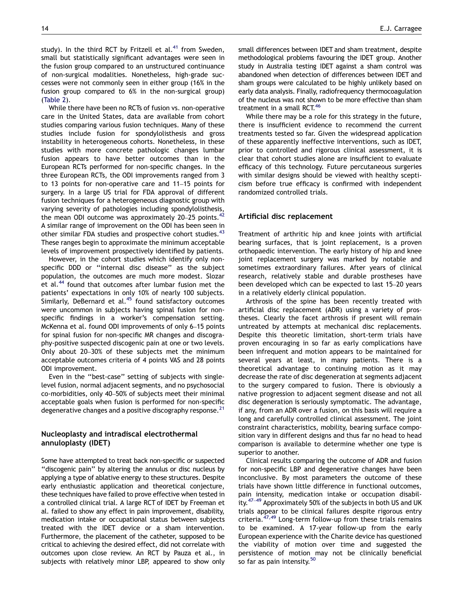study). In the third RCT by Fritzell et  $al.41$  $al.41$  from Sweden, small but statistically significant advantages were seen in the fusion group compared to an unstructured continuance of non-surgical modalities. Nonetheless, high-grade successes were not commonly seen in either group (16% in the fusion group compared to 6% in the non-surgical group) [\(Table 2\)](#page-4-0).

While there have been no RCTs of fusion vs. non-operative care in the United States, data are available from cohort studies comparing various fusion techniques. Many of these studies include fusion for spondylolisthesis and gross instability in heterogeneous cohorts. Nonetheless, in these studies with more concrete pathologic changes lumbar fusion appears to have better outcomes than in the European RCTs performed for non-specific changes. In the three European RCTs, the ODI improvements ranged from 3 to 13 points for non-operative care and 11–15 points for surgery. In a large US trial for FDA approval of different fusion techniques for a heterogeneous diagnostic group with varying severity of pathologies including spondylolisthesis, the mean ODI outcome was approximately 20-25 points.<sup>[42](#page-7-0)</sup> A similar range of improvement on the ODI has been seen in other similar FDA studies and prospective cohort studies.<sup>[43](#page-7-0)</sup> These ranges begin to approximate the minimum acceptable levels of improvement prospectively identified by patients.

However, in the cohort studies which identify only nonspecific DDD or ''internal disc disease'' as the subject population, the outcomes are much more modest. Slozar et al.<sup>[44](#page-7-0)</sup> found that outcomes after lumbar fusion met the patients' expectations in only 10% of nearly 100 subjects. Similarly, DeBernard et al. $45$  found satisfactory outcomes were uncommon in subjects having spinal fusion for nonspecific findings in a worker's compensation setting. McKenna et al. found ODI improvements of only 6–15 points for spinal fusion for non-specific MR changes and discography-positive suspected discogenic pain at one or two levels. Only about 20–30% of these subjects met the minimum acceptable outcomes criteria of 4 points VAS and 28 points ODI improvement.

Even in the ''best-case'' setting of subjects with singlelevel fusion, normal adjacent segments, and no psychosocial co-morbidities, only 40–50% of subjects meet their minimal acceptable goals when fusion is performed for non-specific degenerative changes and a positive discography response.<sup>[21](#page-7-0)</sup>

## Nucleoplasty and intradiscal electrothermal annuloplasty (IDET)

Some have attempted to treat back non-specific or suspected "discogenic pain" by altering the annulus or disc nucleus by applying a type of ablative energy to these structures. Despite early enthusiastic application and theoretical conjecture, these techniques have failed to prove effective when tested in a controlled clinical trial. A large RCT of IDET by Freeman et al. failed to show any effect in pain improvement, disability, medication intake or occupational status between subjects treated with the IDET device or a sham intervention. Furthermore, the placement of the catheter, supposed to be critical to achieving the desired effect, did not correlate with outcomes upon close review. An RCT by Pauza et al., in subjects with relatively minor LBP, appeared to show only small differences between IDET and sham treatment, despite methodological problems favouring the IDET group. Another study in Australia testing IDET against a sham control was abandoned when detection of differences between IDET and sham groups were calculated to be highly unlikely based on early data analysis. Finally, radiofrequency thermocoagulation of the nucleus was not shown to be more effective than sham treatment in a small RCT.<sup>46</sup>

While there may be a role for this strategy in the future, there is insufficient evidence to recommend the current treatments tested so far. Given the widespread application of these apparently ineffective interventions, such as IDET, prior to controlled and rigorous clinical assessment, it is clear that cohort studies alone are insufficient to evaluate efficacy of this technology. Future percutaneous surgeries with similar designs should be viewed with healthy scepticism before true efficacy is confirmed with independent randomized controlled trials.

#### Artificial disc replacement

Treatment of arthritic hip and knee joints with artificial bearing surfaces, that is joint replacement, is a proven orthopaedic intervention. The early history of hip and knee joint replacement surgery was marked by notable and sometimes extraordinary failures. After years of clinical research, relatively stable and durable prostheses have been developed which can be expected to last 15–20 years in a relatively elderly clinical population.

Arthrosis of the spine has been recently treated with artificial disc replacement (ADR) using a variety of prostheses. Clearly the facet arthrosis if present will remain untreated by attempts at mechanical disc replacements. Despite this theoretic limitation, short-term trials have proven encouraging in so far as early complications have been infrequent and motion appears to be maintained for several years at least, in many patients. There is a theoretical advantage to continuing motion as it may decrease the rate of disc degeneration at segments adjacent to the surgery compared to fusion. There is obviously a native progression to adjacent segment disease and not all disc degeneration is seriously symptomatic. The advantage, if any, from an ADR over a fusion, on this basis will require a long and carefully controlled clinical assessment. The joint constraint characteristics, mobility, bearing surface composition vary in different designs and thus far no head to head comparison is available to determine whether one type is superior to another.

Clinical results comparing the outcome of ADR and fusion for non-specific LBP and degenerative changes have been inconclusive. By most parameters the outcome of these trials have shown little difference in functional outcomes, pain intensity, medication intake or occupation disability.<sup>47–49</sup> Approximately 50% of the subjects in both US and UK trials appear to be clinical failures despite rigorous entry criteria. $47,49$  Long-term follow-up from these trials remains to be examined. A 17-year follow-up from the early European experience with the Charite device has questioned the viability of motion over time and suggested the persistence of motion may not be clinically beneficial so far as pain intensity.<sup>[50](#page-7-0)</sup>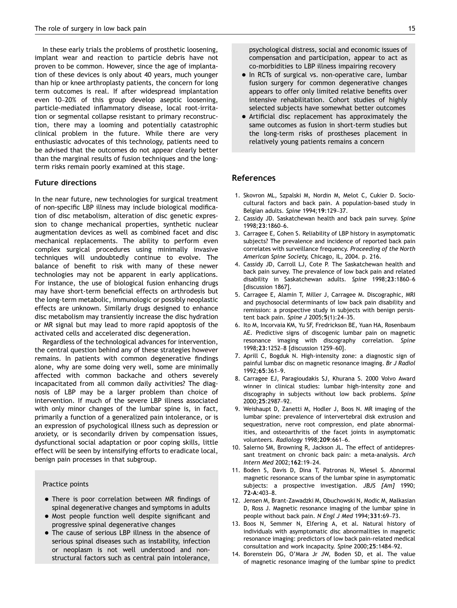<span id="page-6-0"></span>In these early trials the problems of prosthetic loosening, implant wear and reaction to particle debris have not proven to be common. However, since the age of implantation of these devices is only about 40 years, much younger than hip or knee arthroplasty patients, the concern for long term outcomes is real. If after widespread implantation even 10–20% of this group develop aseptic loosening, particle-mediated inflammatory disease, local root-irritation or segmental collapse resistant to primary reconstruction, there may a looming and potentially catastrophic clinical problem in the future. While there are very enthusiastic advocates of this technology, patients need to be advised that the outcomes do not appear clearly better than the marginal results of fusion techniques and the longterm risks remain poorly examined at this stage.

#### Future directions

In the near future, new technologies for surgical treatment of non-specific LBP illness may include biological modification of disc metabolism, alteration of disc genetic expression to change mechanical properties, synthetic nuclear augmentation devices as well as combined facet and disc mechanical replacements. The ability to perform even complex surgical procedures using minimally invasive techniques will undoubtedly continue to evolve. The balance of benefit to risk with many of these newer technologies may not be apparent in early applications. For instance, the use of biological fusion enhancing drugs may have short-term beneficial effects on arthrodesis but the long-term metabolic, immunologic or possibly neoplastic effects are unknown. Similarly drugs designed to enhance disc metabolism may transiently increase the disc hydration or MR signal but may lead to more rapid apoptosis of the activated cells and accelerated disc degeneration.

Regardless of the technological advances for intervention, the central question behind any of these strategies however remains. In patients with common degenerative findings alone, why are some doing very well, some are minimally affected with common backache and others severely incapacitated from all common daily activities? The diagnosis of LBP may be a larger problem than choice of intervention. If much of the severe LBP illness associated with only minor changes of the lumbar spine is, in fact, primarily a function of a generalized pain intolerance, or is an expression of psychological illness such as depression or anxiety, or is secondarily driven by compensation issues, dysfunctional social adaptation or poor coping skills, little effect will be seen by intensifying efforts to eradicate local, benign pain processes in that subgroup.

Practice points

- . There is poor correlation between MR findings of spinal degenerative changes and symptoms in adults
- $\bullet$  Most people function well despite significant and progressive spinal degenerative changes
- The cause of serious LBP illness in the absence of serious spinal diseases such as instability, infection or neoplasm is not well understood and nonstructural factors such as central pain intolerance,
- In RCTs of surgical vs. non-operative care, lumbar fusion surgery for common degenerative changes appears to offer only limited relative benefits over intensive rehabilitation. Cohort studies of highly selected subjects have somewhat better outcomes
- Artificial disc replacement has approximately the same outcomes as fusion in short-term studies but the long-term risks of prostheses placement in relatively young patients remains a concern

#### References

- 1. Skovron ML, Szpalski M, Nordin M, Melot C, Cukier D. Sociocultural factors and back pain. A population-based study in Belgian adults. Spine 1994;19:129–37.
- 2. Cassidy JD. Saskatchewan health and back pain survey. Spine 1998;23:1860–6.
- 3. Carragee E, Cohen S. Reliability of LBP history in asymptomatic subjects? The prevalence and incidence of reported back pain correlates with surveillance frequency. Proceeding of the North American Spine Society, Chicago, IL, 2004. p. 216.
- 4. Cassidy JD, Carroll LJ, Cote P. The Saskatchewan health and back pain survey. The prevalence of low back pain and related disability in Saskatchewan adults. Spine 1998;23:1860–6 [discussion 1867].
- 5. Carragee E, Alamin T, Miller J, Carragee M. Discographic, MRI and psychosocial determinants of low back pain disability and remission: a prospective study in subjects with benign persistent back pain. Spine J 2005;5(1):24-35.
- 6. Ito M, Incorvaia KM, Yu SF, Fredrickson BE, Yuan HA, Rosenbaum AE. Predictive signs of discogenic lumbar pain on magnetic resonance imaging with discography correlation. Spine 1998;23:1252–8 [discussion 1259–60].
- 7. Aprill C, Bogduk N. High-intensity zone: a diagnostic sign of painful lumbar disc on magnetic resonance imaging. Br J Radiol 1992;65:361–9.
- 8. Carragee EJ, Paragioudakis SJ, Khurana S. 2000 Volvo Award winner in clinical studies: lumbar high-intensity zone and discography in subjects without low back problems. Spine 2000;25:2987–92.
- 9. Weishaupt D, Zanetti M, Hodler J, Boos N. MR imaging of the lumbar spine: prevalence of intervertebral disk extrusion and sequestration, nerve root compression, end plate abnormalities, and osteoarthritis of the facet joints in asymptomatic volunteers. Radiology 1998;209:661–6.
- 10. Salerno SM, Browning R, Jackson JL. The effect of antidepressant treatment on chronic back pain: a meta-analysis. Arch Intern Med 2002;162:19–24.
- 11. Boden S, Davis D, Dina T, Patronas N, Wiesel S. Abnormal magnetic resonance scans of the lumbar spine in asymptomatic subjects: a prospective investigation. JBJS [Am] 1990; 72-A:403–8.
- 12. Jensen M, Brant-Zawadzki M, Obuchowski N, Modic M, Malkasian D, Ross J. Magnetic resonance imaging of the lumbar spine in people without back pain. N Engl J Med 1994;331:69–73.
- 13. Boos N, Semmer N, Elfering A, et al. Natural history of individuals with asymptomatic disc abnormalities in magnetic resonance imaging: predictors of low back pain-related medical consultation and work incapacity. Spine 2000;25:1484–92.
- 14. Borenstein DG, O'Mara Jr JW, Boden SD, et al. The value of magnetic resonance imaging of the lumbar spine to predict